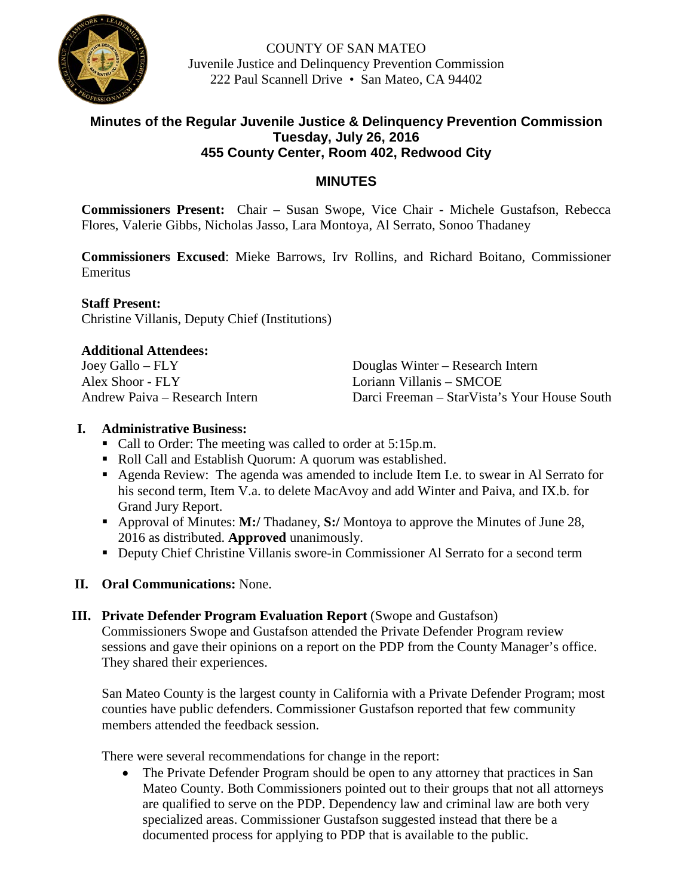

COUNTY OF SAN MATEO Juvenile Justice and Delinquency Prevention Commission 222 Paul Scannell Drive • San Mateo, CA 94402

# **Minutes of the Regular Juvenile Justice & Delinquency Prevention Commission Tuesday, July 26, 2016 455 County Center, Room 402, Redwood City**

# **MINUTES**

**Commissioners Present:** Chair – Susan Swope, Vice Chair - Michele Gustafson, Rebecca Flores, Valerie Gibbs, Nicholas Jasso, Lara Montoya, Al Serrato, Sonoo Thadaney

**Commissioners Excused**: Mieke Barrows, Irv Rollins, and Richard Boitano, Commissioner Emeritus

# **Staff Present:**

Christine Villanis, Deputy Chief (Institutions)

#### **Additional Attendees:**

| Joey Gallo – FLY               |
|--------------------------------|
| Alex Shoor - FLY               |
| Andrew Paiva – Research Intern |

Douglas Winter – Research Intern Loriann Villanis – SMCOE Darci Freeman – StarVista's Your House South

## **I. Administrative Business:**

- Call to Order: The meeting was called to order at 5:15p.m.
- Roll Call and Establish Quorum: A quorum was established.
- Agenda Review: The agenda was amended to include Item I.e. to swear in Al Serrato for his second term, Item V.a. to delete MacAvoy and add Winter and Paiva, and IX.b. for Grand Jury Report.
- Approval of Minutes: **M:/** Thadaney, **S:/** Montoya to approve the Minutes of June 28, 2016 as distributed. **Approved** unanimously.
- Deputy Chief Christine Villanis swore-in Commissioner Al Serrato for a second term
- **II. Oral Communications:** None.
- **III.** Private Defender Program Evaluation Report (Swope and Gustafson) Commissioners Swope and Gustafson attended the Private Defender Program review sessions and gave their opinions on a report on the PDP from the County Manager's office. They shared their experiences.

San Mateo County is the largest county in California with a Private Defender Program; most counties have public defenders. Commissioner Gustafson reported that few community members attended the feedback session.

There were several recommendations for change in the report:

• The Private Defender Program should be open to any attorney that practices in San Mateo County. Both Commissioners pointed out to their groups that not all attorneys are qualified to serve on the PDP. Dependency law and criminal law are both very specialized areas. Commissioner Gustafson suggested instead that there be a documented process for applying to PDP that is available to the public.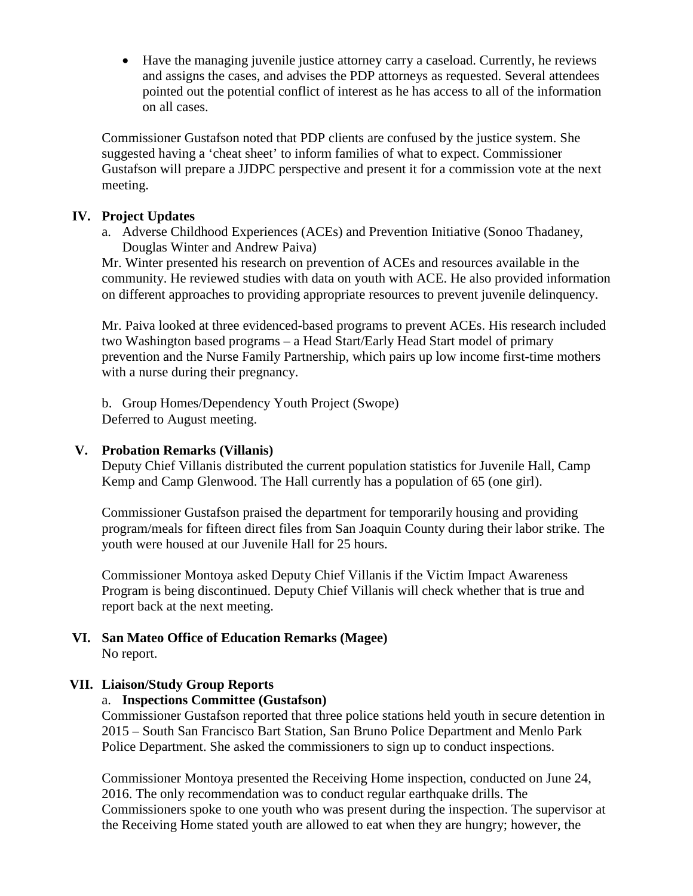• Have the managing juvenile justice attorney carry a caseload. Currently, he reviews and assigns the cases, and advises the PDP attorneys as requested. Several attendees pointed out the potential conflict of interest as he has access to all of the information on all cases.

Commissioner Gustafson noted that PDP clients are confused by the justice system. She suggested having a 'cheat sheet' to inform families of what to expect. Commissioner Gustafson will prepare a JJDPC perspective and present it for a commission vote at the next meeting.

## **IV. Project Updates**

a. Adverse Childhood Experiences (ACEs) and Prevention Initiative (Sonoo Thadaney, Douglas Winter and Andrew Paiva)

Mr. Winter presented his research on prevention of ACEs and resources available in the community. He reviewed studies with data on youth with ACE. He also provided information on different approaches to providing appropriate resources to prevent juvenile delinquency.

Mr. Paiva looked at three evidenced-based programs to prevent ACEs. His research included two Washington based programs – a Head Start/Early Head Start model of primary prevention and the Nurse Family Partnership, which pairs up low income first-time mothers with a nurse during their pregnancy.

b. Group Homes/Dependency Youth Project (Swope) Deferred to August meeting.

### **V. Probation Remarks (Villanis)**

Deputy Chief Villanis distributed the current population statistics for Juvenile Hall, Camp Kemp and Camp Glenwood. The Hall currently has a population of 65 (one girl).

Commissioner Gustafson praised the department for temporarily housing and providing program/meals for fifteen direct files from San Joaquin County during their labor strike. The youth were housed at our Juvenile Hall for 25 hours.

Commissioner Montoya asked Deputy Chief Villanis if the Victim Impact Awareness Program is being discontinued. Deputy Chief Villanis will check whether that is true and report back at the next meeting.

**VI. San Mateo Office of Education Remarks (Magee)** No report.

# **VII. Liaison/Study Group Reports**

#### a. **Inspections Committee (Gustafson)**

Commissioner Gustafson reported that three police stations held youth in secure detention in 2015 – South San Francisco Bart Station, San Bruno Police Department and Menlo Park Police Department. She asked the commissioners to sign up to conduct inspections.

Commissioner Montoya presented the Receiving Home inspection, conducted on June 24, 2016. The only recommendation was to conduct regular earthquake drills. The Commissioners spoke to one youth who was present during the inspection. The supervisor at the Receiving Home stated youth are allowed to eat when they are hungry; however, the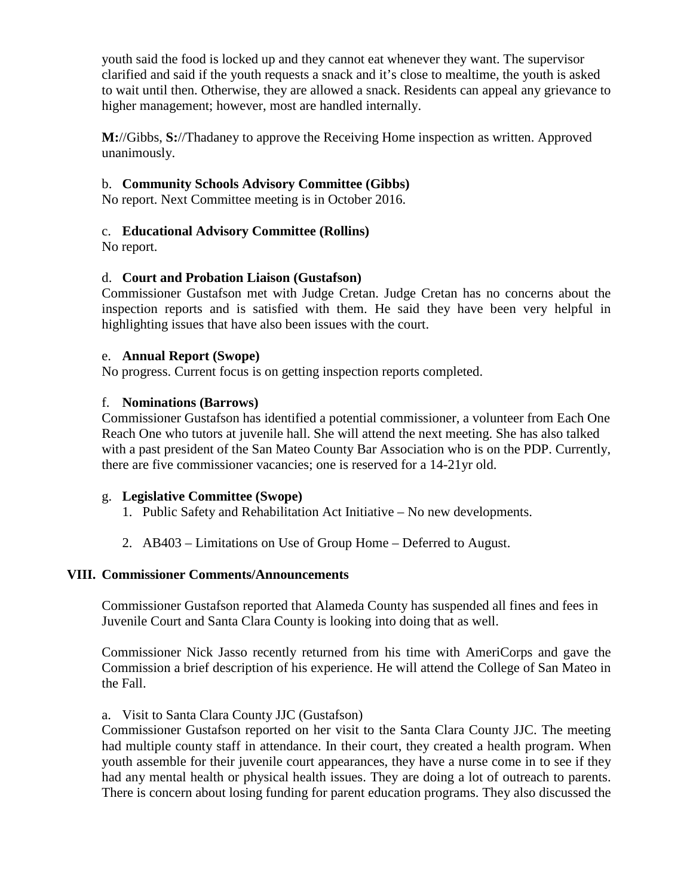youth said the food is locked up and they cannot eat whenever they want. The supervisor clarified and said if the youth requests a snack and it's close to mealtime, the youth is asked to wait until then. Otherwise, they are allowed a snack. Residents can appeal any grievance to higher management; however, most are handled internally.

**M:**//Gibbs, **S:**//Thadaney to approve the Receiving Home inspection as written. Approved unanimously.

## b. **Community Schools Advisory Committee (Gibbs)**

No report. Next Committee meeting is in October 2016.

## c. **Educational Advisory Committee (Rollins)**

No report.

## d. **Court and Probation Liaison (Gustafson)**

Commissioner Gustafson met with Judge Cretan. Judge Cretan has no concerns about the inspection reports and is satisfied with them. He said they have been very helpful in highlighting issues that have also been issues with the court.

#### e. **Annual Report (Swope)**

No progress. Current focus is on getting inspection reports completed.

#### f. **Nominations (Barrows)**

Commissioner Gustafson has identified a potential commissioner, a volunteer from Each One Reach One who tutors at juvenile hall. She will attend the next meeting. She has also talked with a past president of the San Mateo County Bar Association who is on the PDP. Currently, there are five commissioner vacancies; one is reserved for a 14-21yr old.

#### g. **Legislative Committee (Swope)**

- 1. Public Safety and Rehabilitation Act Initiative No new developments.
- 2. AB403 Limitations on Use of Group Home Deferred to August.

#### **VIII. Commissioner Comments/Announcements**

Commissioner Gustafson reported that Alameda County has suspended all fines and fees in Juvenile Court and Santa Clara County is looking into doing that as well.

Commissioner Nick Jasso recently returned from his time with AmeriCorps and gave the Commission a brief description of his experience. He will attend the College of San Mateo in the Fall.

#### a. Visit to Santa Clara County JJC (Gustafson)

Commissioner Gustafson reported on her visit to the Santa Clara County JJC. The meeting had multiple county staff in attendance. In their court, they created a health program. When youth assemble for their juvenile court appearances, they have a nurse come in to see if they had any mental health or physical health issues. They are doing a lot of outreach to parents. There is concern about losing funding for parent education programs. They also discussed the